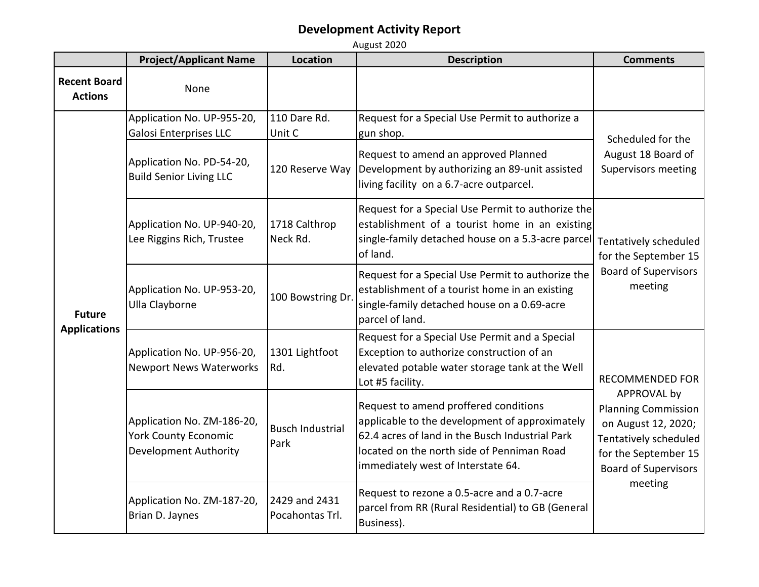|                                       | <b>Project/Applicant Name</b>                                                             | <b>Location</b>                  | <b>Description</b>                                                                                                                                                                                                             | <b>Comments</b>                                                                                                                                                                       |
|---------------------------------------|-------------------------------------------------------------------------------------------|----------------------------------|--------------------------------------------------------------------------------------------------------------------------------------------------------------------------------------------------------------------------------|---------------------------------------------------------------------------------------------------------------------------------------------------------------------------------------|
| <b>Recent Board</b><br><b>Actions</b> | None                                                                                      |                                  |                                                                                                                                                                                                                                |                                                                                                                                                                                       |
| <b>Future</b><br><b>Applications</b>  | Application No. UP-955-20,<br><b>Galosi Enterprises LLC</b>                               | 110 Dare Rd.<br>Unit C           | Request for a Special Use Permit to authorize a<br>gun shop.                                                                                                                                                                   | Scheduled for the<br>August 18 Board of<br><b>Supervisors meeting</b>                                                                                                                 |
|                                       | Application No. PD-54-20,<br><b>Build Senior Living LLC</b>                               | 120 Reserve Way                  | Request to amend an approved Planned<br>Development by authorizing an 89-unit assisted<br>living facility on a 6.7-acre outparcel.                                                                                             |                                                                                                                                                                                       |
|                                       | Application No. UP-940-20,<br>Lee Riggins Rich, Trustee                                   | 1718 Calthrop<br>Neck Rd.        | Request for a Special Use Permit to authorize the<br>establishment of a tourist home in an existing<br>single-family detached house on a 5.3-acre parcel Tentatively scheduled<br>of land.                                     | for the September 15<br><b>Board of Supervisors</b><br>meeting                                                                                                                        |
|                                       | Application No. UP-953-20,<br>Ulla Clayborne                                              | 100 Bowstring Dr.                | Request for a Special Use Permit to authorize the<br>establishment of a tourist home in an existing<br>single-family detached house on a 0.69-acre<br>parcel of land.                                                          |                                                                                                                                                                                       |
|                                       | Application No. UP-956-20,<br><b>Newport News Waterworks</b>                              | 1301 Lightfoot<br>Rd.            | Request for a Special Use Permit and a Special<br>Exception to authorize construction of an<br>elevated potable water storage tank at the Well<br>Lot #5 facility.                                                             | <b>RECOMMENDED FOR</b><br>APPROVAL by<br><b>Planning Commission</b><br>on August 12, 2020;<br>Tentatively scheduled<br>for the September 15<br><b>Board of Supervisors</b><br>meeting |
|                                       | Application No. ZM-186-20,<br><b>York County Economic</b><br><b>Development Authority</b> | <b>Busch Industrial</b><br>Park  | Request to amend proffered conditions<br>applicable to the development of approximately<br>62.4 acres of land in the Busch Industrial Park<br>located on the north side of Penniman Road<br>immediately west of Interstate 64. |                                                                                                                                                                                       |
|                                       | Application No. ZM-187-20,<br>Brian D. Jaynes                                             | 2429 and 2431<br>Pocahontas Trl. | Request to rezone a 0.5-acre and a 0.7-acre<br>parcel from RR (Rural Residential) to GB (General<br>Business).                                                                                                                 |                                                                                                                                                                                       |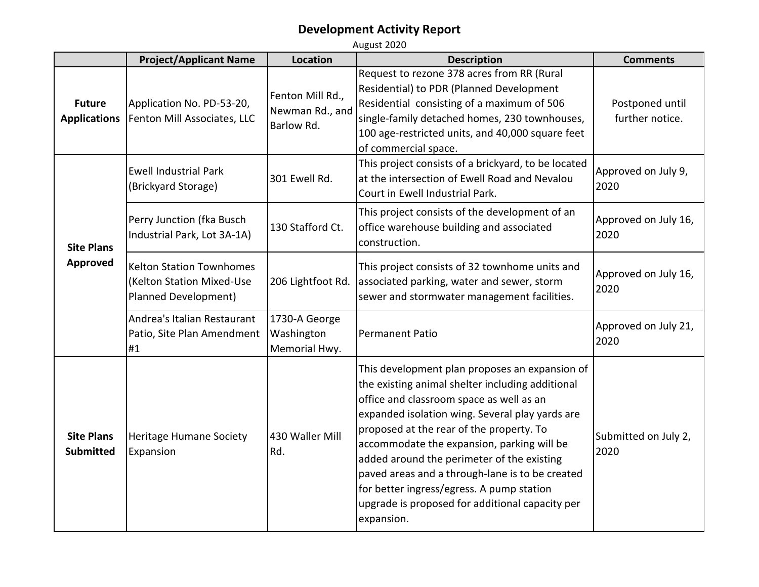|                                       | <b>Project/Applicant Name</b>                                                        | Location                                          | <b>Description</b>                                                                                                                                                                                                                                                                                                                                                                                                                                                                                         | <b>Comments</b>                    |
|---------------------------------------|--------------------------------------------------------------------------------------|---------------------------------------------------|------------------------------------------------------------------------------------------------------------------------------------------------------------------------------------------------------------------------------------------------------------------------------------------------------------------------------------------------------------------------------------------------------------------------------------------------------------------------------------------------------------|------------------------------------|
| <b>Future</b><br><b>Applications</b>  | Application No. PD-53-20,<br>Fenton Mill Associates, LLC                             | Fenton Mill Rd.,<br>Newman Rd., and<br>Barlow Rd. | Request to rezone 378 acres from RR (Rural<br>Residential) to PDR (Planned Development<br>Residential consisting of a maximum of 506<br>single-family detached homes, 230 townhouses,<br>100 age-restricted units, and 40,000 square feet<br>of commercial space.                                                                                                                                                                                                                                          | Postponed until<br>further notice. |
| <b>Site Plans</b><br><b>Approved</b>  | <b>Ewell Industrial Park</b><br>(Brickyard Storage)                                  | 301 Ewell Rd.                                     | This project consists of a brickyard, to be located<br>at the intersection of Ewell Road and Nevalou<br>Court in Ewell Industrial Park.                                                                                                                                                                                                                                                                                                                                                                    | Approved on July 9,<br>2020        |
|                                       | Perry Junction (fka Busch<br>Industrial Park, Lot 3A-1A)                             | 130 Stafford Ct.                                  | This project consists of the development of an<br>office warehouse building and associated<br>construction.                                                                                                                                                                                                                                                                                                                                                                                                | Approved on July 16,<br>2020       |
|                                       | <b>Kelton Station Townhomes</b><br>(Kelton Station Mixed-Use<br>Planned Development) | 206 Lightfoot Rd.                                 | This project consists of 32 townhome units and<br>associated parking, water and sewer, storm<br>sewer and stormwater management facilities.                                                                                                                                                                                                                                                                                                                                                                | Approved on July 16,<br>2020       |
|                                       | Andrea's Italian Restaurant<br>Patio, Site Plan Amendment<br>#1                      | 1730-A George<br>Washington<br>Memorial Hwy.      | <b>Permanent Patio</b>                                                                                                                                                                                                                                                                                                                                                                                                                                                                                     | Approved on July 21,<br>2020       |
| <b>Site Plans</b><br><b>Submitted</b> | <b>Heritage Humane Society</b><br>Expansion                                          | 430 Waller Mill<br>Rd.                            | This development plan proposes an expansion of<br>the existing animal shelter including additional<br>office and classroom space as well as an<br>expanded isolation wing. Several play yards are<br>proposed at the rear of the property. To<br>accommodate the expansion, parking will be<br>added around the perimeter of the existing<br>paved areas and a through-lane is to be created<br>for better ingress/egress. A pump station<br>upgrade is proposed for additional capacity per<br>expansion. | Submitted on July 2,<br>2020       |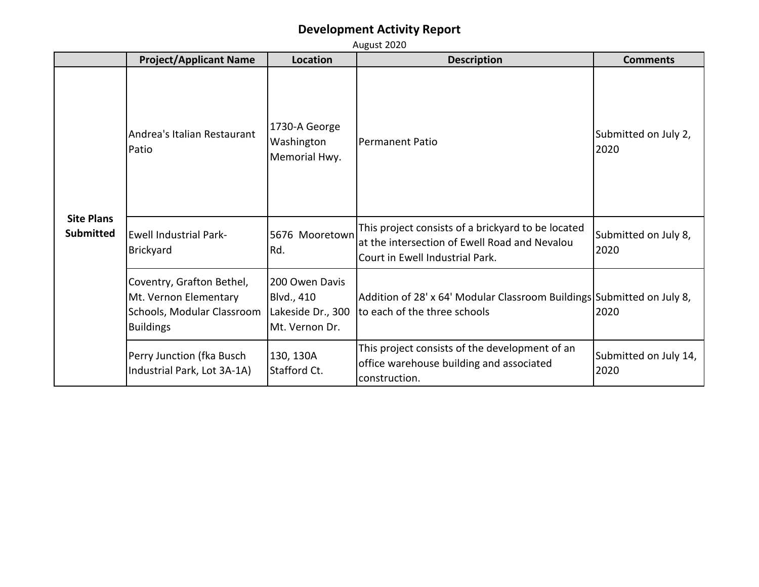|                                       | August 2020                                                                                          |                                                                     |                                                                                                                                        |                               |
|---------------------------------------|------------------------------------------------------------------------------------------------------|---------------------------------------------------------------------|----------------------------------------------------------------------------------------------------------------------------------------|-------------------------------|
|                                       | <b>Project/Applicant Name</b>                                                                        | <b>Location</b>                                                     | <b>Description</b>                                                                                                                     | <b>Comments</b>               |
| <b>Site Plans</b><br><b>Submitted</b> | Andrea's Italian Restaurant<br>Patio                                                                 | 1730-A George<br>Washington<br>Memorial Hwy.                        | <b>Permanent Patio</b>                                                                                                                 | Submitted on July 2,<br>2020  |
|                                       | <b>Ewell Industrial Park-</b><br><b>Brickyard</b>                                                    | 5676 Mooretown<br>Rd.                                               | This project consists of a brickyard to be located<br>at the intersection of Ewell Road and Nevalou<br>Court in Ewell Industrial Park. | Submitted on July 8,<br>2020  |
|                                       | Coventry, Grafton Bethel,<br>Mt. Vernon Elementary<br>Schools, Modular Classroom<br><b>Buildings</b> | 200 Owen Davis<br>Blvd., 410<br>Lakeside Dr., 300<br>Mt. Vernon Dr. | Addition of 28' x 64' Modular Classroom Buildings Submitted on July 8,<br>to each of the three schools                                 | 2020                          |
|                                       | Perry Junction (fka Busch<br>Industrial Park, Lot 3A-1A)                                             | 130, 130A<br>Stafford Ct.                                           | This project consists of the development of an<br>office warehouse building and associated<br>construction.                            | Submitted on July 14,<br>2020 |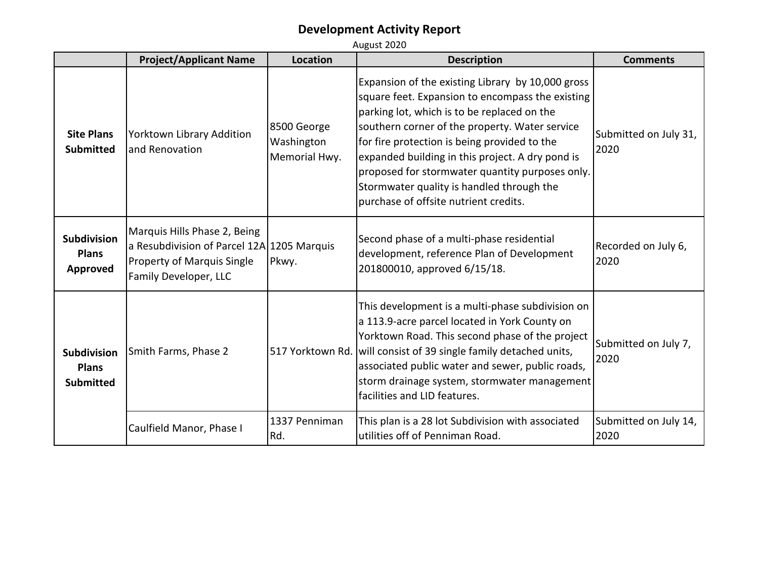|                                                        | <b>Project/Applicant Name</b>                                                                                                            | <b>Location</b>                            | <b>Description</b>                                                                                                                                                                                                                                                                                                                                                                                                                                  | <b>Comments</b>               |
|--------------------------------------------------------|------------------------------------------------------------------------------------------------------------------------------------------|--------------------------------------------|-----------------------------------------------------------------------------------------------------------------------------------------------------------------------------------------------------------------------------------------------------------------------------------------------------------------------------------------------------------------------------------------------------------------------------------------------------|-------------------------------|
| <b>Site Plans</b><br><b>Submitted</b>                  | Yorktown Library Addition<br>land Renovation                                                                                             | 8500 George<br>Washington<br>Memorial Hwy. | Expansion of the existing Library by 10,000 gross<br>square feet. Expansion to encompass the existing<br>parking lot, which is to be replaced on the<br>southern corner of the property. Water service<br>for fire protection is being provided to the<br>expanded building in this project. A dry pond is<br>proposed for stormwater quantity purposes only.<br>Stormwater quality is handled through the<br>purchase of offsite nutrient credits. | Submitted on July 31,<br>2020 |
| <b>Subdivision</b><br><b>Plans</b><br>Approved         | Marquis Hills Phase 2, Being<br>a Resubdivision of Parcel 12A 1205 Marquis<br><b>Property of Marquis Single</b><br>Family Developer, LLC | Pkwy.                                      | Second phase of a multi-phase residential<br>development, reference Plan of Development<br>201800010, approved 6/15/18.                                                                                                                                                                                                                                                                                                                             | Recorded on July 6,<br>2020   |
| <b>Subdivision</b><br><b>Plans</b><br><b>Submitted</b> | Smith Farms, Phase 2                                                                                                                     | 517 Yorktown Rd.                           | This development is a multi-phase subdivision on<br>a 113.9-acre parcel located in York County on<br>Yorktown Road. This second phase of the project<br>will consist of 39 single family detached units,<br>associated public water and sewer, public roads,<br>storm drainage system, stormwater management<br>facilities and LID features.                                                                                                        | Submitted on July 7,<br>2020  |
|                                                        | Caulfield Manor, Phase I                                                                                                                 | 1337 Penniman<br>Rd.                       | This plan is a 28 lot Subdivision with associated<br>utilities off of Penniman Road.                                                                                                                                                                                                                                                                                                                                                                | Submitted on July 14,<br>2020 |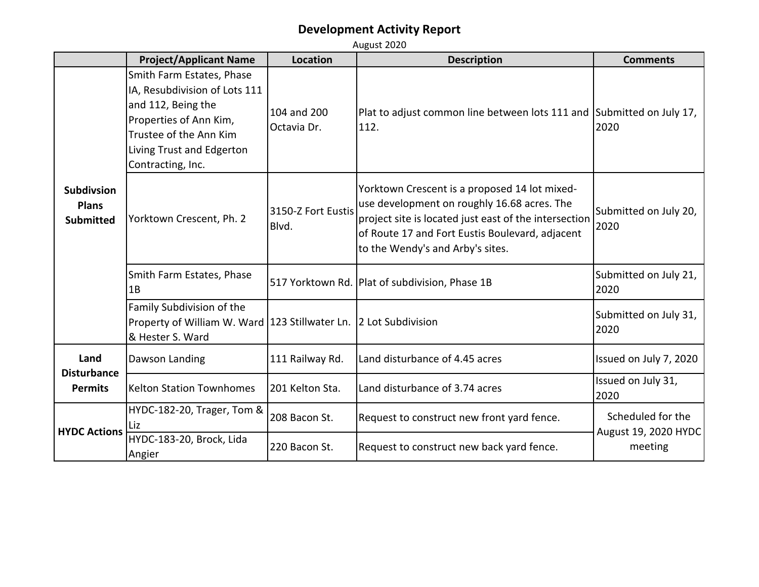**Project/Applicant Name Location Description Description Description Description** Smith Farm Estates, Phase IA, Resubdivision of Lots 111 and 112, Being the Properties of Ann Kim, Trustee of the Ann Kim Living Trust and Edgerton Contracting, Inc. 104 and 200 Octavia Dr. Plat to adjust common line between lots 111 and Submitted on July 17, 112. 2020 Yorktown Crescent, Ph. 2  $\begin{bmatrix} 3150-Z \end{bmatrix}$  Fort Eustis Blvd. Yorktown Crescent is a proposed 14 lot mixeduse development on roughly 16.68 acres. The project site is located just east of the intersection of Route 17 and Fort Eustis Boulevard, adjacent to the Wendy's and Arby's sites. Submitted on July 20, 2020 Smith Farm Estates, Phase 1B 517 Yorktown Rd. Plat of subdivision, Phase 1B  $\overline{\phantom{0}}$  Submitted on July 21, 2020 Family Subdivision of the Property of William W. Ward  $\begin{bmatrix} 123 & 5 \end{bmatrix}$  Submitted on July 31, Submitted on July 31, & Hester S. Ward 2020 Dawson Landing 111 Railway Rd. | Land disturbance of 4.45 acres | Issued on July 7, 2020 Kelton Station Townhomes  $\begin{bmatrix} 201 \end{bmatrix}$  Kelton Sta. Land disturbance of 3.74 acres Issued on July 31, 2020 HYDC-182-20, Trager, Tom & Liz 208 Bacon St. Request to construct new front yard fence. HYDC-183-20, Brock, Lida Angier 220 Bacon St. **Request to construct new back yard fence.** Scheduled for the August 19, 2020 HYDC meeting **HYDC Actions Land Disturbance Permits Subdivsion Plans Submitted**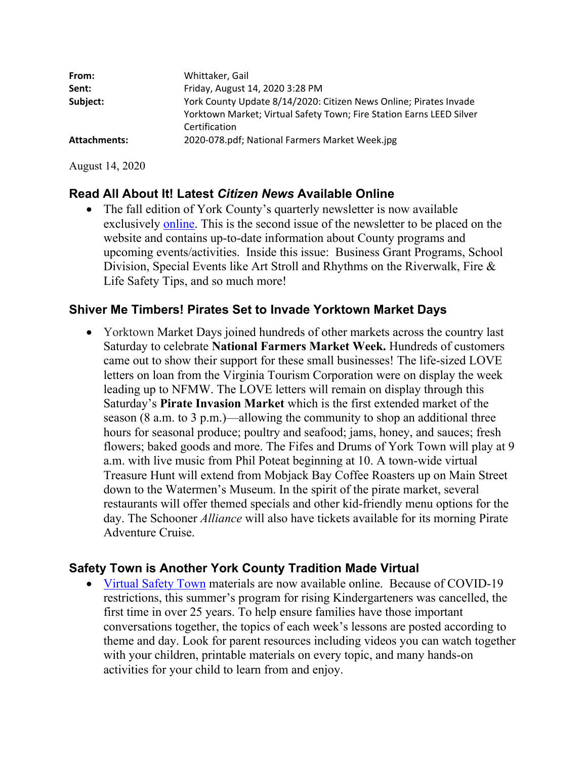| Whittaker, Gail                                                      |
|----------------------------------------------------------------------|
| Friday, August 14, 2020 3:28 PM                                      |
| York County Update 8/14/2020: Citizen News Online; Pirates Invade    |
| Yorktown Market; Virtual Safety Town; Fire Station Earns LEED Silver |
| Certification                                                        |
| 2020-078.pdf; National Farmers Market Week.jpg                       |
|                                                                      |

August 14, 2020

## **Read All About It! Latest** *Citizen News* **Available Online**

• The fall edition of York County's quarterly newsletter is now available exclusively online. This is the second issue of the newsletter to be placed on the website and contains up-to-date information about County programs and upcoming events/activities. Inside this issue: Business Grant Programs, School Division, Special Events like Art Stroll and Rhythms on the Riverwalk, Fire & Life Safety Tips, and so much more!

#### **Shiver Me Timbers! Pirates Set to Invade Yorktown Market Days**

 Yorktown Market Days joined hundreds of other markets across the country last Saturday to celebrate **National Farmers Market Week.** Hundreds of customers came out to show their support for these small businesses! The life-sized LOVE letters on loan from the Virginia Tourism Corporation were on display the week leading up to NFMW. The LOVE letters will remain on display through this Saturday's **Pirate Invasion Market** which is the first extended market of the season (8 a.m. to 3 p.m.)—allowing the community to shop an additional three hours for seasonal produce; poultry and seafood; jams, honey, and sauces; fresh flowers; baked goods and more. The Fifes and Drums of York Town will play at 9 a.m. with live music from Phil Poteat beginning at 10. A town-wide virtual Treasure Hunt will extend from Mobjack Bay Coffee Roasters up on Main Street down to the Watermen's Museum. In the spirit of the pirate market, several restaurants will offer themed specials and other kid-friendly menu options for the day. The Schooner *Alliance* will also have tickets available for its morning Pirate Adventure Cruise.

#### **Safety Town is Another York County Tradition Made Virtual**

 Virtual Safety Town materials are now available online. Because of COVID-19 restrictions, this summer's program for rising Kindergarteners was cancelled, the first time in over 25 years. To help ensure families have those important conversations together, the topics of each week's lessons are posted according to theme and day. Look for parent resources including videos you can watch together with your children, printable materials on every topic, and many hands-on activities for your child to learn from and enjoy.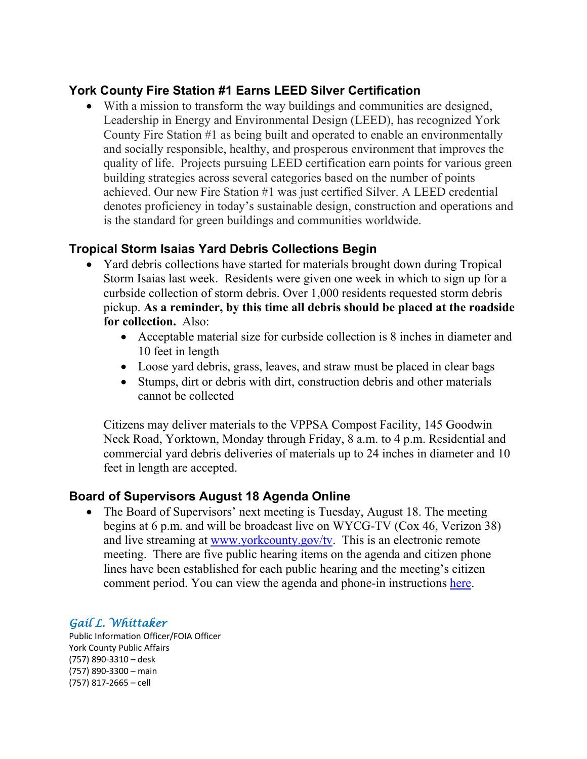## **York County Fire Station #1 Earns LEED Silver Certification**

 With a mission to transform the way buildings and communities are designed, Leadership in Energy and Environmental Design (LEED), has recognized York County Fire Station #1 as being built and operated to enable an environmentally and socially responsible, healthy, and prosperous environment that improves the quality of life. Projects pursuing LEED certification earn points for various green building strategies across several categories based on the number of points achieved. Our new Fire Station #1 was just certified Silver. A LEED credential denotes proficiency in today's sustainable design, construction and operations and is the standard for green buildings and communities worldwide.

## **Tropical Storm Isaias Yard Debris Collections Begin**

- Yard debris collections have started for materials brought down during Tropical Storm Isaias last week. Residents were given one week in which to sign up for a curbside collection of storm debris. Over 1,000 residents requested storm debris pickup. **As a reminder, by this time all debris should be placed at the roadside for collection.** Also:
	- Acceptable material size for curbside collection is 8 inches in diameter and 10 feet in length
	- Loose yard debris, grass, leaves, and straw must be placed in clear bags
	- Stumps, dirt or debris with dirt, construction debris and other materials cannot be collected

Citizens may deliver materials to the VPPSA Compost Facility, 145 Goodwin Neck Road, Yorktown, Monday through Friday, 8 a.m. to 4 p.m. Residential and commercial yard debris deliveries of materials up to 24 inches in diameter and 10 feet in length are accepted.

## **Board of Supervisors August 18 Agenda Online**

• The Board of Supervisors' next meeting is Tuesday, August 18. The meeting begins at 6 p.m. and will be broadcast live on WYCG-TV (Cox 46, Verizon 38) and live streaming at www.yorkcounty.gov/ty. This is an electronic remote meeting. There are five public hearing items on the agenda and citizen phone lines have been established for each public hearing and the meeting's citizen comment period. You can view the agenda and phone-in instructions here.

## *Gail L. Whittaker*

Public Information Officer/FOIA Officer York County Public Affairs (757) 890‐3310 – desk (757) 890‐3300 – main (757) 817‐2665 – cell